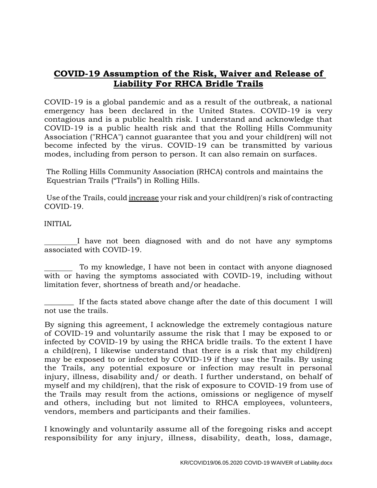## **COVID-19 Assumption of the Risk, Waiver and Release of Liability For RHCA Bridle Trails**

COVID-19 is a global pandemic and as a result of the outbreak, a national emergency has been declared in the United States. COVID-19 is very contagious and is a public health risk. I understand and acknowledge that COVID-19 is a public health risk and that the Rolling Hills Community Association ("RHCA") cannot guarantee that you and your child(ren) will not become infected by the virus. COVID-19 can be transmitted by various modes, including from person to person. It can also remain on surfaces.

The Rolling Hills Community Association (RHCA) controls and maintains the Equestrian Trails ("Trails") in Rolling Hills.

Use ofthe Trails, could increase your risk and your child(ren)'s risk of contracting COVID-19.

## INITIAL

 I have not been diagnosed with and do not have any symptoms associated with COVID-19.

 To my knowledge, I have not been in contact with anyone diagnosed with or having the symptoms associated with COVID-19, including without limitation fever, shortness of breath and/or headache.

If the facts stated above change after the date of this document I will not use the trails.

By signing this agreement, I acknowledge the extremely contagious nature of COVID-19 and voluntarily assume the risk that I may be exposed to or infected by COVID-19 by using the RHCA bridle trails. To the extent I have a child(ren), I likewise understand that there is a risk that my child(ren) may be exposed to or infected by COVID-19 if they use the Trails. By using the Trails, any potential exposure or infection may result in personal injury, illness, disability and/ or death. I further understand, on behalf of myself and my child(ren), that the risk of exposure to COVID-19 from use of the Trails may result from the actions, omissions or negligence of myself and others, including but not limited to RHCA employees, volunteers, vendors, members and participants and their families.

I knowingly and voluntarily assume all of the foregoing risks and accept responsibility for any injury, illness, disability, death, loss, damage,